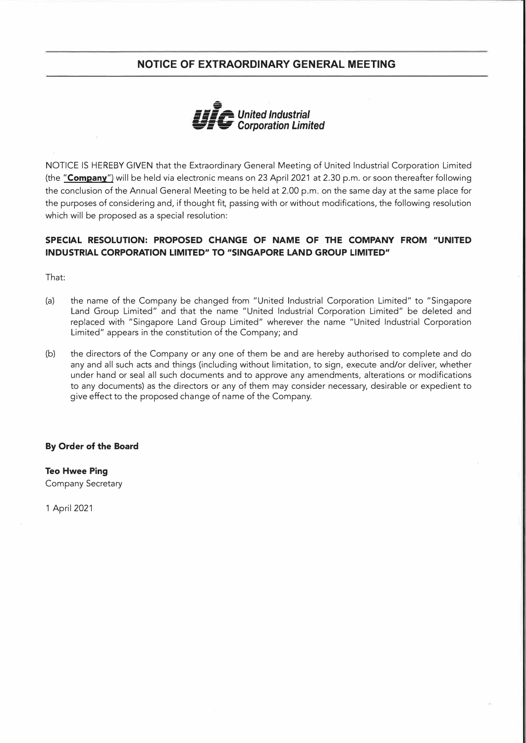# **NOTICE OF EXTRAORDINARY GENERAL MEETING**



NOTICE IS HEREBY GIVEN that the Extraordinary General Meeting of United Industrial Corporation Limited (the **"Company")** will be held via electronic means on 23 April 2021 at 2.30 p.m. or soon thereafter following the conclusion of the Annual General Meeting to be held at 2.00 p.m. on the same day at the same place for the purposes of considering and, if thought fit, passing with or without modifications, the following resolution which will be proposed as a special resolution:

## **SPECIAL RESOLUTION: PROPOSED CHANGE OF NAME OF THE COMPANY FROM "UNITED INDUSTRIAL CORPORATION LIMITED" TO "SINGAPORE LAND GROUP LIMITED"**

That:

- (a) the name of the Company be changed from "United Industrial Corporation Limited" to "Singapore Land Group Limited" and that the name "United Industrial Corporation Limited" be deleted and replaced with "Singapore Land Group Limited" wherever the name "United Industrial Corporation Limited" appears in the constitution of the Company; and
- (b) the directors of the Company or any one of them be and are hereby authorised to complete and do any and all such acts and things (including without limitation, to sign, execute and/or deliver, whether under hand or seal all such documents and to approve any amendments, alterations or modifications to any documents) as the directors or any of them may consider necessary, desirable or expedient to give effect to the proposed change of name of the Company.

#### **By Order of the Board**

**Teo Hwee Ping**  Company Secretary

1 April 2021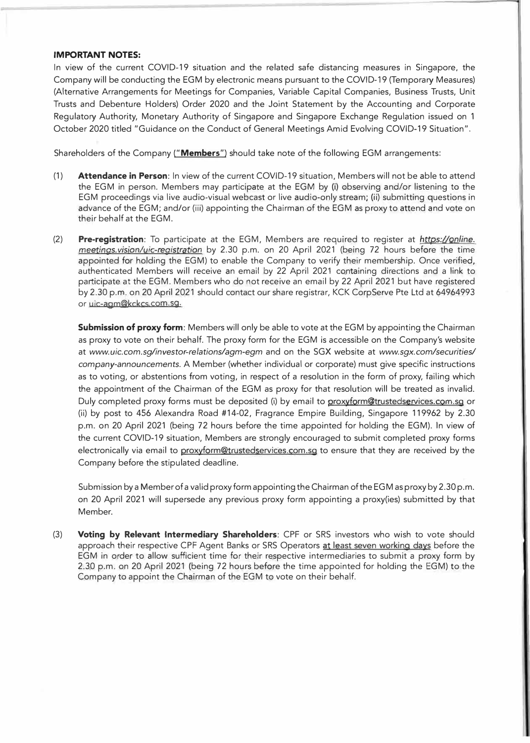#### **IMPORTANT NOTES:**

In view of the current COVID-19 situation and the related safe distancing measures in Singapore, the Company will be conducting the EGM by electronic means pursuant to the COVID-19 (Temporary Measures) (Alternative Arrangements for Meetings for Companies, Variable Capital Companies, Business Trusts, Unit Trusts and Debenture Holders) Order 2020 and the Joint Statement by the Accounting and Corporate Regulatory Authority, Monetary Authority of Singapore and Singapore Exchange Regulation issued on 1 October 2020 titled "Guidance on the Conduct of General Meetings Amid Evolving COVID-19 Situation".

Shareholders of the Company **("Members")** should take note of the following EGM arrangements:

- (1) **Attendance in Person:** In view of the current COVID-19 situation, Members will not be able to attend the EGM in person. Members may participate at the EGM by (i) observing and/or listening to the EGM proceedings via live audio-visual webcast or live audio-only stream; (ii) submitting questions in advance of the EGM; and/or (iii) appointing the Chairman of the EGM as proxy to attend and vote on their behalf at the EGM.
- (2) **Pre-registration:** To participate at the EGM, Members are required to register at *https:/lonline. meetings.vision/uic-registratfon* by 2.30 p.m. on 20 April 2021 (being 72 hours before the time appointed for holding the EGM) to enable the Company to verify their membership. Once verified, authenticated Members will receive an email by 22 April 2021 containing directions and a link to participate at the EGM. Members who do not receive an email by 22 April 2021 but have registered by 2.30 p.m. on 20 April 2021 should contact our share registrar, KCK CorpServe Pte Ltd at 64964993 or uic-agm@kckcs.com.sg.

**Submission of proxy form:** Members will only be able to vote at the EGM by appointing the Chairman as proxy to vote on their behalf. The proxy form for the EGM is accessible on the Company's website at *www.uic.eom.sg/investor-relations/agm-egm* and on the SGX website at *www.sgx.com/securities/ company-announcements.* A Member (whether individual or corporate) must give specific instructions as to voting, or abstentions from voting, in respect of a resolution in the form of proxy, failing which the appointment of the Chairman of the EGM as proxy for that resolution will be treated as invalid. Duly completed proxy forms must be deposited (i) by email to proxyform@trustedservices.com.sg or (ii) by post to 456 Alexandra Road #14-02, Fragrance Empire Building, Singapore 119962 by 2.30 p.m. on 20 April 2021 (being 72 hours before the time appointed for holding the EGM). In view of the current COVID-19 situation, Members are strongly encouraged to submit completed proxy forms electronically via email to proxyform@trustedservices.com.sg to ensure that they are received by the Company before the stipulated deadline.

Submission by a Member of a valid proxy form appointing the Chairman of the EGM as proxy by 2.30 p.m. on 20 April 2021 will supersede any previous proxy form appointing a proxy(ies) submitted by that Member.

(3) **Voting by Relevant Intermediary Shareholders:** CPF or SRS investors who wish to vote should approach their respective CPF Agent Banks or SRS Operators at least seven working days before the EGM in order to allow sufficient time for their respective intermediaries to submit a proxy form by 2.30 p.m. on 20 April 2021 (being 72 hours before the time appointed for holding the EGM) to the Company to appoint the Chairman of the EGM to vote on their behalf.